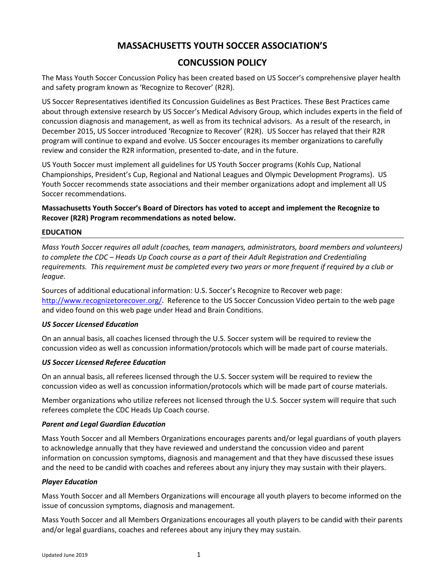# **MASSACHUSETTS YOUTH SOCCER ASSOCIATION'S**

# **CONCUSSION POLICY**

The Mass Youth Soccer Concussion Policy has been created based on US Soccer's comprehensive player health and safety program known as 'Recognize to Recover' (R2R).

US Soccer Representatives identified its Concussion Guidelines as Best Practices. These Best Practices came about through extensive research by US Soccer's Medical Advisory Group, which includes experts in the field of concussion diagnosis and management, as well as from its technical advisors. As a result of the research, in December 2015, US Soccer introduced 'Recognize to Recover' (R2R). US Soccer has relayed that their R2R program will continue to expand and evolve. US Soccer encourages its member organizations to carefully review and consider the R2R information, presented to‐date, and in the future.

US Youth Soccer must implement all guidelines for US Youth Soccer programs (Kohls Cup, National Championships, President's Cup, Regional and National Leagues and Olympic Development Programs). US Youth Soccer recommends state associations and their member organizations adopt and implement all US Soccer recommendations.

**Massachusetts Youth Soccer's Board of Directors has voted to accept and implement the Recognize to Recover (R2R) Program recommendations as noted below.** 

#### **EDUCATION**

*Mass Youth Soccer requires all adult (coaches, team managers, administrators, board members and volunteers) to complete the CDC – Heads Up Coach course as a part of their Adult Registration and Credentialing requirements. This requirement must be completed every two years or more frequent if required by a club or league.* 

Sources of additional educational information: U.S. Soccer's Recognize to Recover web page: http://www.recognizetorecover.org/. Reference to the US Soccer Concussion Video pertain to the web page and video found on this web page under Head and Brain Conditions.

#### *US Soccer Licensed Education*

On an annual basis, all coaches licensed through the U.S. Soccer system will be required to review the concussion video as well as concussion information/protocols which will be made part of course materials.

## *US Soccer Licensed Referee Education*

On an annual basis, all referees licensed through the U.S. Soccer system will be required to review the concussion video as well as concussion information/protocols which will be made part of course materials.

Member organizations who utilize referees not licensed through the U.S. Soccer system will require that such referees complete the CDC Heads Up Coach course.

#### *Parent and Legal Guardian Education*

Mass Youth Soccer and all Members Organizations encourages parents and/or legal guardians of youth players to acknowledge annually that they have reviewed and understand the concussion video and parent information on concussion symptoms, diagnosis and management and that they have discussed these issues and the need to be candid with coaches and referees about any injury they may sustain with their players.

#### *Player Education*

Mass Youth Soccer and all Members Organizations will encourage all youth players to become informed on the issue of concussion symptoms, diagnosis and management.

Mass Youth Soccer and all Members Organizations encourages all youth players to be candid with their parents and/or legal guardians, coaches and referees about any injury they may sustain.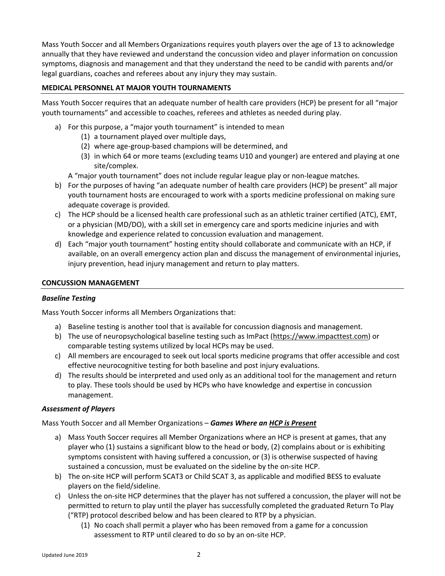Mass Youth Soccer and all Members Organizations requires youth players over the age of 13 to acknowledge annually that they have reviewed and understand the concussion video and player information on concussion symptoms, diagnosis and management and that they understand the need to be candid with parents and/or legal guardians, coaches and referees about any injury they may sustain.

# **MEDICAL PERSONNEL AT MAJOR YOUTH TOURNAMENTS**

Mass Youth Soccer requires that an adequate number of health care providers (HCP) be present for all "major youth tournaments" and accessible to coaches, referees and athletes as needed during play.

- a) For this purpose, a "major youth tournament" is intended to mean
	- (1) a tournament played over multiple days,
	- (2) where age‐group‐based champions will be determined, and
	- (3) in which 64 or more teams (excluding teams U10 and younger) are entered and playing at one site/complex.

A "major youth tournament" does not include regular league play or non‐league matches.

- b) For the purposes of having "an adequate number of health care providers (HCP) be present" all major youth tournament hosts are encouraged to work with a sports medicine professional on making sure adequate coverage is provided.
- c) The HCP should be a licensed health care professional such as an athletic trainer certified (ATC), EMT, or a physician (MD/DO), with a skill set in emergency care and sports medicine injuries and with knowledge and experience related to concussion evaluation and management.
- d) Each "major youth tournament" hosting entity should collaborate and communicate with an HCP, if available, on an overall emergency action plan and discuss the management of environmental injuries, injury prevention, head injury management and return to play matters.

#### **CONCUSSION MANAGEMENT**

## *Baseline Testing*

Mass Youth Soccer informs all Members Organizations that:

- a) Baseline testing is another tool that is available for concussion diagnosis and management.
- b) The use of neuropsychological baseline testing such as ImPact (https://www.impacttest.com) or comparable testing systems utilized by local HCPs may be used.
- c) All members are encouraged to seek out local sports medicine programs that offer accessible and cost effective neurocognitive testing for both baseline and post injury evaluations.
- d) The results should be interpreted and used only as an additional tool for the management and return to play. These tools should be used by HCPs who have knowledge and expertise in concussion management.

## *Assessment of Players*

Mass Youth Soccer and all Member Organizations – *Games Where an HCP is Present*

- a) Mass Youth Soccer requires all Member Organizations where an HCP is present at games, that any player who (1) sustains a significant blow to the head or body, (2) complains about or is exhibiting symptoms consistent with having suffered a concussion, or (3) is otherwise suspected of having sustained a concussion, must be evaluated on the sideline by the on‐site HCP.
- b) The on-site HCP will perform SCAT3 or Child SCAT 3, as applicable and modified BESS to evaluate players on the field/sideline.
- c) Unless the on‐site HCP determines that the player has not suffered a concussion, the player will not be permitted to return to play until the player has successfully completed the graduated Return To Play ("RTP) protocol described below and has been cleared to RTP by a physician.
	- (1) No coach shall permit a player who has been removed from a game for a concussion assessment to RTP until cleared to do so by an on‐site HCP.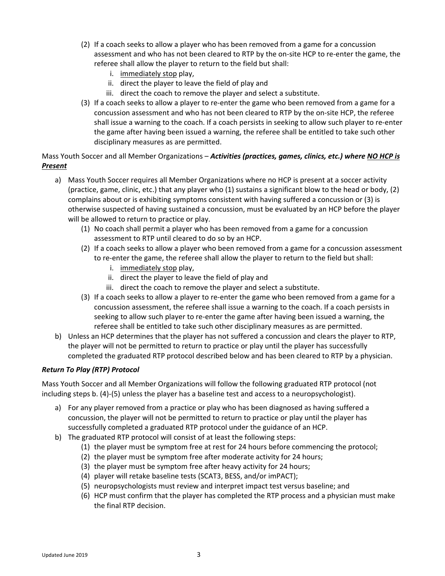- (2) If a coach seeks to allow a player who has been removed from a game for a concussion assessment and who has not been cleared to RTP by the on‐site HCP to re‐enter the game, the referee shall allow the player to return to the field but shall:
	- i. immediately stop play,
	- ii. direct the player to leave the field of play and
	- iii. direct the coach to remove the player and select a substitute.
- (3) If a coach seeks to allow a player to re‐enter the game who been removed from a game for a concussion assessment and who has not been cleared to RTP by the on‐site HCP, the referee shall issue a warning to the coach. If a coach persists in seeking to allow such player to re‐enter the game after having been issued a warning, the referee shall be entitled to take such other disciplinary measures as are permitted.

Mass Youth Soccer and all Member Organizations – *Activities (practices, games, clinics, etc.) where NO HCP is Present*

- a) Mass Youth Soccer requires all Member Organizations where no HCP is present at a soccer activity (practice, game, clinic, etc.) that any player who (1) sustains a significant blow to the head or body, (2) complains about or is exhibiting symptoms consistent with having suffered a concussion or (3) is otherwise suspected of having sustained a concussion, must be evaluated by an HCP before the player will be allowed to return to practice or play.
	- (1) No coach shall permit a player who has been removed from a game for a concussion assessment to RTP until cleared to do so by an HCP.
	- (2) If a coach seeks to allow a player who been removed from a game for a concussion assessment to re-enter the game, the referee shall allow the player to return to the field but shall:
		- i. immediately stop play,
		- ii. direct the player to leave the field of play and
		- iii. direct the coach to remove the player and select a substitute.
	- (3) If a coach seeks to allow a player to re‐enter the game who been removed from a game for a concussion assessment, the referee shall issue a warning to the coach. If a coach persists in seeking to allow such player to re‐enter the game after having been issued a warning, the referee shall be entitled to take such other disciplinary measures as are permitted.
- b) Unless an HCP determines that the player has not suffered a concussion and clears the player to RTP, the player will not be permitted to return to practice or play until the player has successfully completed the graduated RTP protocol described below and has been cleared to RTP by a physician.

## *Return To Play (RTP) Protocol*

Mass Youth Soccer and all Member Organizations will follow the following graduated RTP protocol (not including steps b. (4)‐(5) unless the player has a baseline test and access to a neuropsychologist).

- a) For any player removed from a practice or play who has been diagnosed as having suffered a concussion, the player will not be permitted to return to practice or play until the player has successfully completed a graduated RTP protocol under the guidance of an HCP.
- b) The graduated RTP protocol will consist of at least the following steps:
	- (1) the player must be symptom free at rest for 24 hours before commencing the protocol;
	- (2) the player must be symptom free after moderate activity for 24 hours;
	- (3) the player must be symptom free after heavy activity for 24 hours;
	- (4) player will retake baseline tests (SCAT3, BESS, and/or imPACT);
	- (5) neuropsychologists must review and interpret impact test versus baseline; and
	- (6) HCP must confirm that the player has completed the RTP process and a physician must make the final RTP decision.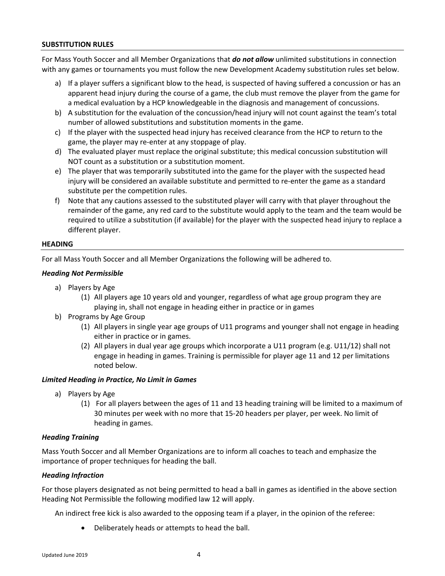#### **SUBSTITUTION RULES**

For Mass Youth Soccer and all Member Organizations that *do not allow* unlimited substitutions in connection with any games or tournaments you must follow the new Development Academy substitution rules set below.

- a) If a player suffers a significant blow to the head, is suspected of having suffered a concussion or has an apparent head injury during the course of a game, the club must remove the player from the game for a medical evaluation by a HCP knowledgeable in the diagnosis and management of concussions.
- b) A substitution for the evaluation of the concussion/head injury will not count against the team's total number of allowed substitutions and substitution moments in the game.
- c) If the player with the suspected head injury has received clearance from the HCP to return to the game, the player may re‐enter at any stoppage of play.
- d) The evaluated player must replace the original substitute; this medical concussion substitution will NOT count as a substitution or a substitution moment.
- e) The player that was temporarily substituted into the game for the player with the suspected head injury will be considered an available substitute and permitted to re-enter the game as a standard substitute per the competition rules.
- f) Note that any cautions assessed to the substituted player will carry with that player throughout the remainder of the game, any red card to the substitute would apply to the team and the team would be required to utilize a substitution (if available) for the player with the suspected head injury to replace a different player.

#### **HEADING**

For all Mass Youth Soccer and all Member Organizations the following will be adhered to.

#### *Heading Not Permissible*

- a) Players by Age
	- (1) All players age 10 years old and younger, regardless of what age group program they are playing in, shall not engage in heading either in practice or in games
- b) Programs by Age Group
	- (1) All players in single year age groups of U11 programs and younger shall not engage in heading either in practice or in games.
	- (2) All players in dual year age groups which incorporate a U11 program (e.g. U11/12) shall not engage in heading in games. Training is permissible for player age 11 and 12 per limitations noted below.

## *Limited Heading in Practice, No Limit in Games*

- a) Players by Age
	- (1) For all players between the ages of 11 and 13 heading training will be limited to a maximum of 30 minutes per week with no more that 15‐20 headers per player, per week. No limit of heading in games.

## *Heading Training*

Mass Youth Soccer and all Member Organizations are to inform all coaches to teach and emphasize the importance of proper techniques for heading the ball.

## *Heading Infraction*

For those players designated as not being permitted to head a ball in games as identified in the above section Heading Not Permissible the following modified law 12 will apply.

An indirect free kick is also awarded to the opposing team if a player, in the opinion of the referee:

Deliberately heads or attempts to head the ball.